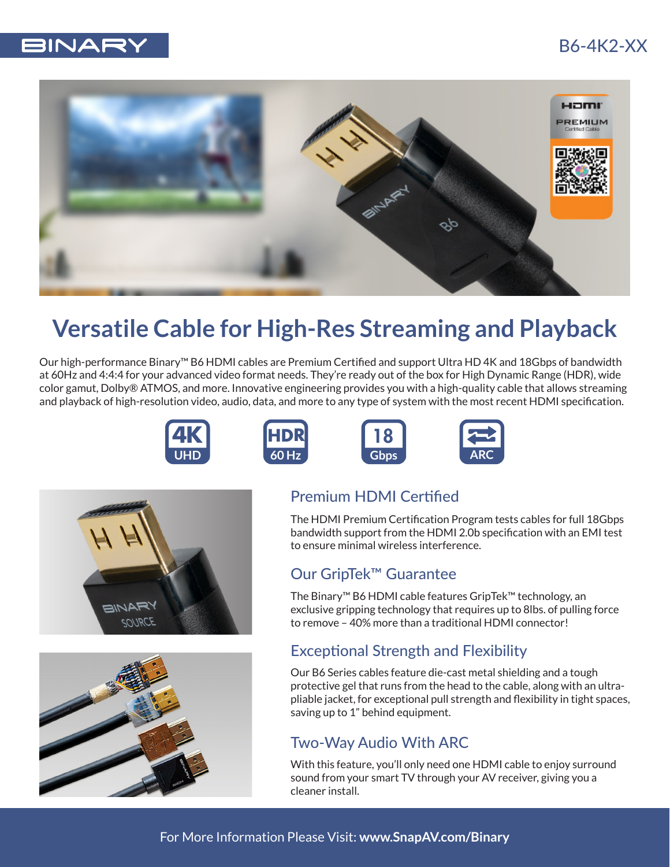

## B6-4K2-XX



# **Versatile Cable for High-Res Streaming and Playback**

Our high-performance Binary™ B6 HDMI cables are Premium Certified and support Ultra HD 4K and 18Gbps of bandwidth at 60Hz and 4:4:4 for your advanced video format needs. They're ready out of the box for High Dynamic Range (HDR), wide color gamut, Dolby® ATMOS, and more. Innovative engineering provides you with a high-quality cable that allows streaming and playback of high-resolution video, audio, data, and more to any type of system with the most recent HDMI specification.

**HDR**







### Premium HDMI Certified

**60 Hz ARC** 18 **Gbps**

The HDMI Premium Certification Program tests cables for full 18Gbps bandwidth support from the HDMI 2.0b specification with an EMI test to ensure minimal wireless interference.

#### Our GripTek™ Guarantee

The Binary™ B6 HDMI cable features GripTek™ technology, an exclusive gripping technology that requires up to 8lbs. of pulling force to remove – 40% more than a traditional HDMI connector!

#### Exceptional Strength and Flexibility

Our B6 Series cables feature die-cast metal shielding and a tough protective gel that runs from the head to the cable, along with an ultrapliable jacket, for exceptional pull strength and flexibility in tight spaces, saving up to 1" behind equipment.

#### Two-Way Audio With ARC

With this feature, you'll only need one HDMI cable to enjoy surround sound from your smart TV through your AV receiver, giving you a cleaner install.

For More Information Please Visit: **www.SnapAV.com/Binary**